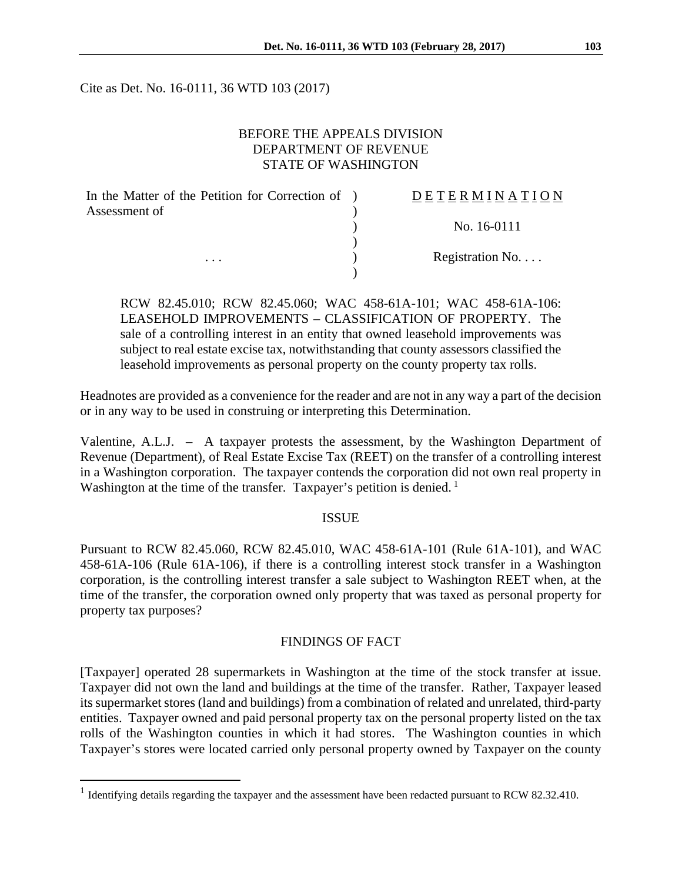Cite as Det. No. 16-0111, 36 WTD 103 (2017)

### BEFORE THE APPEALS DIVISION DEPARTMENT OF REVENUE STATE OF WASHINGTON

| In the Matter of the Petition for Correction of ) | DETERMINATION   |
|---------------------------------------------------|-----------------|
| Assessment of                                     |                 |
|                                                   | No. 16-0111     |
|                                                   |                 |
| $\cdots$                                          | Registration No |
|                                                   |                 |

RCW 82.45.010; RCW 82.45.060; WAC 458-61A-101; WAC 458-61A-106: LEASEHOLD IMPROVEMENTS – CLASSIFICATION OF PROPERTY. The sale of a controlling interest in an entity that owned leasehold improvements was subject to real estate excise tax, notwithstanding that county assessors classified the leasehold improvements as personal property on the county property tax rolls.

Headnotes are provided as a convenience for the reader and are not in any way a part of the decision or in any way to be used in construing or interpreting this Determination.

Valentine, A.L.J. – A taxpayer protests the assessment, by the Washington Department of Revenue (Department), of Real Estate Excise Tax (REET) on the transfer of a controlling interest in a Washington corporation. The taxpayer contends the corporation did not own real property in Washington at the time of the transfer. Taxpayer's petition is denied.<sup>1</sup>

#### ISSUE

Pursuant to RCW 82.45.060, RCW 82.45.010, WAC 458-61A-101 (Rule 61A-101), and WAC 458-61A-106 (Rule 61A-106), if there is a controlling interest stock transfer in a Washington corporation, is the controlling interest transfer a sale subject to Washington REET when, at the time of the transfer, the corporation owned only property that was taxed as personal property for property tax purposes?

#### FINDINGS OF FACT

[Taxpayer] operated 28 supermarkets in Washington at the time of the stock transfer at issue. Taxpayer did not own the land and buildings at the time of the transfer. Rather, Taxpayer leased its supermarket stores (land and buildings) from a combination of related and unrelated, third-party entities. Taxpayer owned and paid personal property tax on the personal property listed on the tax rolls of the Washington counties in which it had stores. The Washington counties in which Taxpayer's stores were located carried only personal property owned by Taxpayer on the county

 $\overline{a}$ 

<sup>&</sup>lt;sup>1</sup> Identifying details regarding the taxpayer and the assessment have been redacted pursuant to RCW 82.32.410.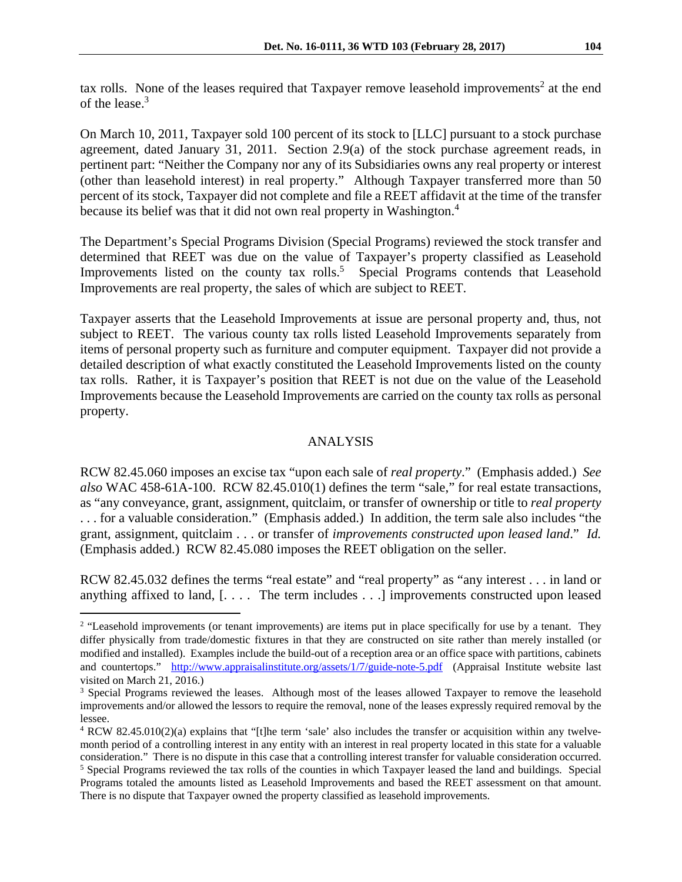tax rolls. None of the leases required that Taxpayer remove leasehold improvements<sup>2</sup> at the end of the lease.<sup>3</sup>

On March 10, 2011, Taxpayer sold 100 percent of its stock to [LLC] pursuant to a stock purchase agreement, dated January 31, 2011. Section 2.9(a) of the stock purchase agreement reads, in pertinent part: "Neither the Company nor any of its Subsidiaries owns any real property or interest (other than leasehold interest) in real property." Although Taxpayer transferred more than 50 percent of its stock, Taxpayer did not complete and file a REET affidavit at the time of the transfer because its belief was that it did not own real property in Washington.4

The Department's Special Programs Division (Special Programs) reviewed the stock transfer and determined that REET was due on the value of Taxpayer's property classified as Leasehold Improvements listed on the county tax rolls.<sup>5</sup> Special Programs contends that Leasehold Improvements are real property, the sales of which are subject to REET.

Taxpayer asserts that the Leasehold Improvements at issue are personal property and, thus, not subject to REET. The various county tax rolls listed Leasehold Improvements separately from items of personal property such as furniture and computer equipment. Taxpayer did not provide a detailed description of what exactly constituted the Leasehold Improvements listed on the county tax rolls. Rather, it is Taxpayer's position that REET is not due on the value of the Leasehold Improvements because the Leasehold Improvements are carried on the county tax rolls as personal property.

## ANALYSIS

RCW 82.45.060 imposes an excise tax "upon each sale of *real property*." (Emphasis added.) *See also* WAC 458-61A-100. RCW 82.45.010(1) defines the term "sale," for real estate transactions, as "any conveyance, grant, assignment, quitclaim, or transfer of ownership or title to *real property* . . . for a valuable consideration." (Emphasis added.) In addition, the term sale also includes "the grant, assignment, quitclaim . . . or transfer of *improvements constructed upon leased land*." *Id.*  (Emphasis added.) RCW 82.45.080 imposes the REET obligation on the seller.

RCW 82.45.032 defines the terms "real estate" and "real property" as "any interest . . . in land or anything affixed to land, [. . . . The term includes . . .] improvements constructed upon leased

 $\overline{a}$ 

<sup>&</sup>lt;sup>2</sup> "Leasehold improvements (or tenant improvements) are items put in place specifically for use by a tenant. They differ physically from trade/domestic fixtures in that they are constructed on site rather than merely installed (or modified and installed). Examples include the build-out of a reception area or an office space with partitions, cabinets and countertops." http://www.appraisalinstitute.org/assets/1/7/guide-note-5.pdf (Appraisal Institute website last visited on March 21, 2016.)

<sup>&</sup>lt;sup>3</sup> Special Programs reviewed the leases. Although most of the leases allowed Taxpayer to remove the leasehold improvements and/or allowed the lessors to require the removal, none of the leases expressly required removal by the lessee.

<sup>4</sup> RCW 82.45.010(2)(a) explains that "[t]he term 'sale' also includes the transfer or acquisition within any twelvemonth period of a controlling interest in any entity with an interest in real property located in this state for a valuable consideration." There is no dispute in this case that a controlling interest transfer for valuable consideration occurred. 5 <sup>5</sup> Special Programs reviewed the tax rolls of the counties in which Taxpayer leased the land and buildings. Special Programs totaled the amounts listed as Leasehold Improvements and based the REET assessment on that amount. There is no dispute that Taxpayer owned the property classified as leasehold improvements.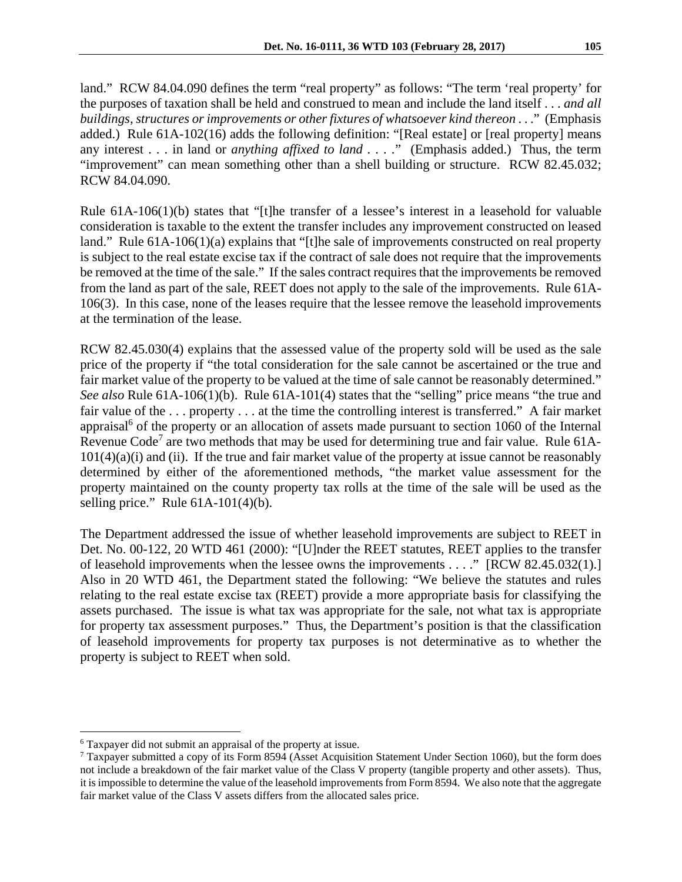land." RCW 84.04.090 defines the term "real property" as follows: "The term 'real property' for the purposes of taxation shall be held and construed to mean and include the land itself . . . *and all buildings, structures or improvements or other fixtures of whatsoever kind thereon* . . ." (Emphasis added.) Rule 61A-102(16) adds the following definition: "[Real estate] or [real property] means any interest . . . in land or *anything affixed to land . . . .*" (Emphasis added.) Thus, the term "improvement" can mean something other than a shell building or structure. RCW 82.45.032; RCW 84.04.090.

Rule 61A-106(1)(b) states that "[t]he transfer of a lessee's interest in a leasehold for valuable consideration is taxable to the extent the transfer includes any improvement constructed on leased land." Rule 61A-106(1)(a) explains that "[t]he sale of improvements constructed on real property is subject to the real estate excise tax if the contract of sale does not require that the improvements be removed at the time of the sale." If the sales contract requires that the improvements be removed from the land as part of the sale, REET does not apply to the sale of the improvements. Rule 61A-106(3). In this case, none of the leases require that the lessee remove the leasehold improvements at the termination of the lease.

RCW 82.45.030(4) explains that the assessed value of the property sold will be used as the sale price of the property if "the total consideration for the sale cannot be ascertained or the true and fair market value of the property to be valued at the time of sale cannot be reasonably determined." *See also* Rule 61A-106(1)(b). Rule 61A-101(4) states that the "selling" price means "the true and fair value of the . . . property . . . at the time the controlling interest is transferred." A fair market appraisal<sup>6</sup> of the property or an allocation of assets made pursuant to section 1060 of the Internal Revenue Code<sup>7</sup> are two methods that may be used for determining true and fair value. Rule 61A- $101(4)(a)(i)$  and (ii). If the true and fair market value of the property at issue cannot be reasonably determined by either of the aforementioned methods, "the market value assessment for the property maintained on the county property tax rolls at the time of the sale will be used as the selling price." Rule  $61A-101(4)(b)$ .

The Department addressed the issue of whether leasehold improvements are subject to REET in Det. No. 00-122, 20 WTD 461 (2000): "[U]nder the REET statutes, REET applies to the transfer of leasehold improvements when the lessee owns the improvements . . . ." [RCW 82.45.032(1).] Also in 20 WTD 461, the Department stated the following: "We believe the statutes and rules relating to the real estate excise tax (REET) provide a more appropriate basis for classifying the assets purchased. The issue is what tax was appropriate for the sale, not what tax is appropriate for property tax assessment purposes." Thus, the Department's position is that the classification of leasehold improvements for property tax purposes is not determinative as to whether the property is subject to REET when sold.

 $\overline{a}$ 

<sup>&</sup>lt;sup>6</sup> Taxpayer did not submit an appraisal of the property at issue.<br><sup>7</sup> Taxpayer submitted a copy of its Form 8504 (Asset Acquisiti

 $7$  Taxpayer submitted a copy of its Form 8594 (Asset Acquisition Statement Under Section 1060), but the form does not include a breakdown of the fair market value of the Class V property (tangible property and other assets). Thus, it is impossible to determine the value of the leasehold improvements from Form 8594. We also note that the aggregate fair market value of the Class V assets differs from the allocated sales price.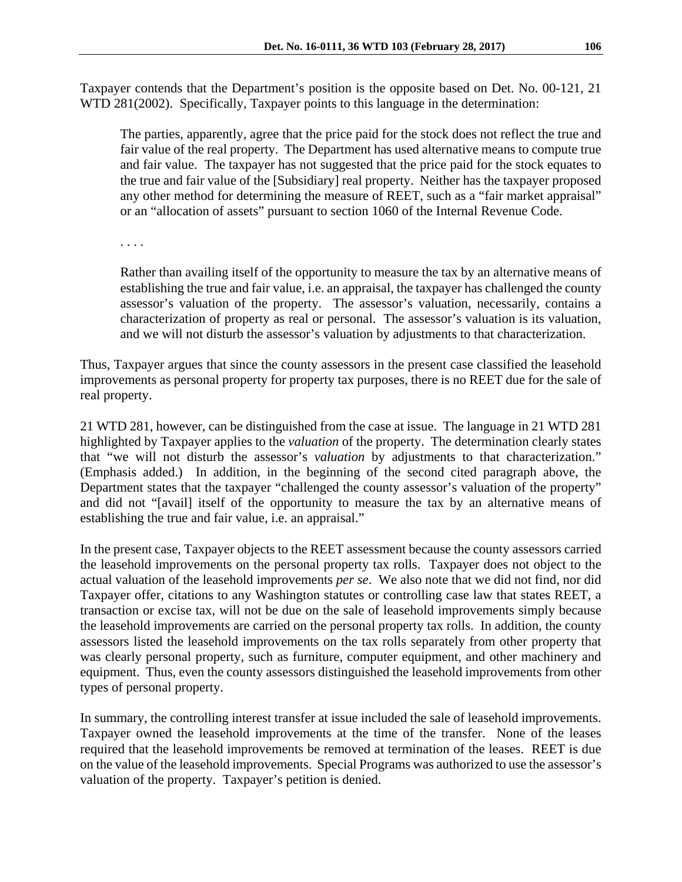Taxpayer contends that the Department's position is the opposite based on Det. No. 00-121, 21 WTD 281(2002). Specifically, Taxpayer points to this language in the determination:

The parties, apparently, agree that the price paid for the stock does not reflect the true and fair value of the real property. The Department has used alternative means to compute true and fair value. The taxpayer has not suggested that the price paid for the stock equates to the true and fair value of the [Subsidiary] real property. Neither has the taxpayer proposed any other method for determining the measure of REET, such as a "fair market appraisal" or an "allocation of assets" pursuant to section 1060 of the Internal Revenue Code.

. . . .

Rather than availing itself of the opportunity to measure the tax by an alternative means of establishing the true and fair value, i.e. an appraisal, the taxpayer has challenged the county assessor's valuation of the property. The assessor's valuation, necessarily, contains a characterization of property as real or personal. The assessor's valuation is its valuation, and we will not disturb the assessor's valuation by adjustments to that characterization.

Thus, Taxpayer argues that since the county assessors in the present case classified the leasehold improvements as personal property for property tax purposes, there is no REET due for the sale of real property.

21 WTD 281, however, can be distinguished from the case at issue. The language in 21 WTD 281 highlighted by Taxpayer applies to the *valuation* of the property. The determination clearly states that "we will not disturb the assessor's *valuation* by adjustments to that characterization." (Emphasis added.) In addition, in the beginning of the second cited paragraph above, the Department states that the taxpayer "challenged the county assessor's valuation of the property" and did not "[avail] itself of the opportunity to measure the tax by an alternative means of establishing the true and fair value, i.e. an appraisal."

In the present case, Taxpayer objects to the REET assessment because the county assessors carried the leasehold improvements on the personal property tax rolls. Taxpayer does not object to the actual valuation of the leasehold improvements *per se*. We also note that we did not find, nor did Taxpayer offer, citations to any Washington statutes or controlling case law that states REET, a transaction or excise tax, will not be due on the sale of leasehold improvements simply because the leasehold improvements are carried on the personal property tax rolls. In addition, the county assessors listed the leasehold improvements on the tax rolls separately from other property that was clearly personal property, such as furniture, computer equipment, and other machinery and equipment. Thus, even the county assessors distinguished the leasehold improvements from other types of personal property.

In summary, the controlling interest transfer at issue included the sale of leasehold improvements. Taxpayer owned the leasehold improvements at the time of the transfer. None of the leases required that the leasehold improvements be removed at termination of the leases. REET is due on the value of the leasehold improvements. Special Programs was authorized to use the assessor's valuation of the property. Taxpayer's petition is denied.